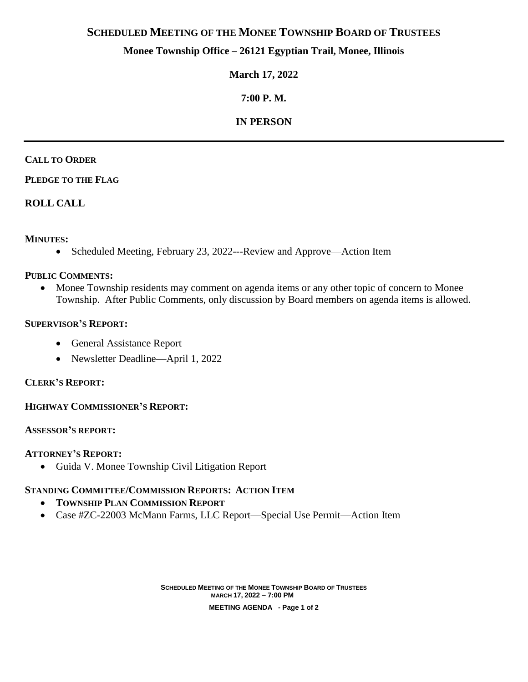# **SCHEDULED MEETING OF THE MONEE TOWNSHIP BOARD OF TRUSTEES**

## **Monee Township Office – 26121 Egyptian Trail, Monee, Illinois**

## **March 17, 2022**

# **7:00 P. M.**

# **IN PERSON**

### **CALL TO ORDER**

## **PLEDGE TO THE FLAG**

## **ROLL CALL**

## **MINUTES:**

• Scheduled Meeting, February 23, 2022---Review and Approve—Action Item

### **PUBLIC COMMENTS:**

• Monee Township residents may comment on agenda items or any other topic of concern to Monee Township. After Public Comments, only discussion by Board members on agenda items is allowed.

### **SUPERVISOR'S REPORT:**

- General Assistance Report
- Newsletter Deadline—April 1, 2022

## **CLERK'S REPORT:**

## **HIGHWAY COMMISSIONER'S REPORT:**

#### **ASSESSOR'S REPORT:**

## **ATTORNEY'S REPORT:**

Guida V. Monee Township Civil Litigation Report

## **STANDING COMMITTEE/COMMISSION REPORTS: ACTION ITEM**

- **TOWNSHIP PLAN COMMISSION REPORT**
- Case #ZC-22003 McMann Farms, LLC Report—Special Use Permit—Action Item

**SCHEDULED MEETING OF THE MONEE TOWNSHIP BOARD OF TRUSTEES MARCH 17, 2022 – 7:00 PM MEETING AGENDA - Page 1 of 2**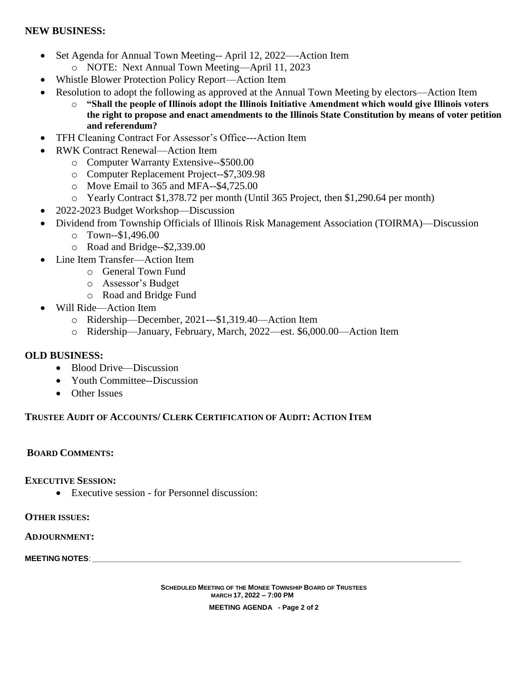### **NEW BUSINESS:**

- Set Agenda for Annual Town Meeting-- April 12, 2022—-Action Item o NOTE: Next Annual Town Meeting—April 11, 2023
- Whistle Blower Protection Policy Report—Action Item
- Resolution to adopt the following as approved at the Annual Town Meeting by electors—Action Item
	- o **"Shall the people of Illinois adopt the Illinois Initiative Amendment which would give Illinois voters the right to propose and enact amendments to the Illinois State Constitution by means of voter petition and referendum?**
- TFH Cleaning Contract For Assessor's Office---Action Item
- RWK Contract Renewal—Action Item
	- o Computer Warranty Extensive--\$500.00
	- o Computer Replacement Project--\$7,309.98
	- o Move Email to 365 and MFA--\$4,725.00
	- o Yearly Contract \$1,378.72 per month (Until 365 Project, then \$1,290.64 per month)
- 2022-2023 Budget Workshop—Discussion
	- Dividend from Township Officials of Illinois Risk Management Association (TOIRMA)—Discussion
		- o Town--\$1,496.00
		- o Road and Bridge--\$2,339.00
- Line Item Transfer—Action Item
	- o General Town Fund
	- o Assessor's Budget
	- o Road and Bridge Fund
- Will Ride—Action Item
	- o Ridership—December, 2021---\$1,319.40—Action Item
	- o Ridership—January, February, March, 2022—est. \$6,000.00—Action Item

#### **OLD BUSINESS:**

- Blood Drive—Discussion
- Youth Committee--Discussion
- Other Issues

#### **TRUSTEE AUDIT OF ACCOUNTS/ CLERK CERTIFICATION OF AUDIT: ACTION ITEM**

#### **BOARD COMMENTS:**

**EXECUTIVE SESSION:**

Executive session - for Personnel discussion:

**OTHER ISSUES:**

**ADJOURNMENT:**

**MEETING NOTES:** 

**SCHEDULED MEETING OF THE MONEE TOWNSHIP BOARD OF TRUSTEES MARCH 17, 2022 – 7:00 PM MEETING AGENDA - Page 2 of 2**